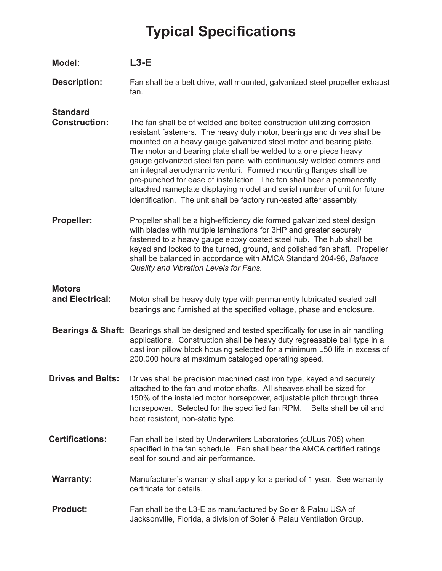## **Typical Specifications**

| Model:                                  | $L3-E$                                                                                                                                                                                                                                                                                                                                                                                                                                                                                                                                                                                                                                                                  |
|-----------------------------------------|-------------------------------------------------------------------------------------------------------------------------------------------------------------------------------------------------------------------------------------------------------------------------------------------------------------------------------------------------------------------------------------------------------------------------------------------------------------------------------------------------------------------------------------------------------------------------------------------------------------------------------------------------------------------------|
| <b>Description:</b>                     | Fan shall be a belt drive, wall mounted, galvanized steel propeller exhaust<br>fan.                                                                                                                                                                                                                                                                                                                                                                                                                                                                                                                                                                                     |
| <b>Standard</b><br><b>Construction:</b> | The fan shall be of welded and bolted construction utilizing corrosion<br>resistant fasteners. The heavy duty motor, bearings and drives shall be<br>mounted on a heavy gauge galvanized steel motor and bearing plate.<br>The motor and bearing plate shall be welded to a one piece heavy<br>gauge galvanized steel fan panel with continuously welded corners and<br>an integral aerodynamic venturi. Formed mounting flanges shall be<br>pre-punched for ease of installation. The fan shall bear a permanently<br>attached nameplate displaying model and serial number of unit for future<br>identification. The unit shall be factory run-tested after assembly. |
| Propeller:                              | Propeller shall be a high-efficiency die formed galvanized steel design<br>with blades with multiple laminations for 3HP and greater securely<br>fastened to a heavy gauge epoxy coated steel hub. The hub shall be<br>keyed and locked to the turned, ground, and polished fan shaft. Propeller<br>shall be balanced in accordance with AMCA Standard 204-96, Balance<br>Quality and Vibration Levels for Fans.                                                                                                                                                                                                                                                        |
| <b>Motors</b><br>and Electrical:        | Motor shall be heavy duty type with permanently lubricated sealed ball<br>bearings and furnished at the specified voltage, phase and enclosure.                                                                                                                                                                                                                                                                                                                                                                                                                                                                                                                         |
|                                         | Bearings & Shaft: Bearings shall be designed and tested specifically for use in air handling<br>applications. Construction shall be heavy duty regreasable ball type in a<br>cast iron pillow block housing selected for a minimum L50 life in excess of<br>200,000 hours at maximum cataloged operating speed.                                                                                                                                                                                                                                                                                                                                                         |
| <b>Drives and Belts:</b>                | Drives shall be precision machined cast iron type, keyed and securely<br>attached to the fan and motor shafts. All sheaves shall be sized for<br>150% of the installed motor horsepower, adjustable pitch through three<br>horsepower. Selected for the specified fan RPM. Belts shall be oil and<br>heat resistant, non-static type.                                                                                                                                                                                                                                                                                                                                   |
| <b>Certifications:</b>                  | Fan shall be listed by Underwriters Laboratories (cULus 705) when<br>specified in the fan schedule. Fan shall bear the AMCA certified ratings<br>seal for sound and air performance.                                                                                                                                                                                                                                                                                                                                                                                                                                                                                    |
| <b>Warranty:</b>                        | Manufacturer's warranty shall apply for a period of 1 year. See warranty<br>certificate for details.                                                                                                                                                                                                                                                                                                                                                                                                                                                                                                                                                                    |
| <b>Product:</b>                         | Fan shall be the L3-E as manufactured by Soler & Palau USA of<br>Jacksonville, Florida, a division of Soler & Palau Ventilation Group.                                                                                                                                                                                                                                                                                                                                                                                                                                                                                                                                  |